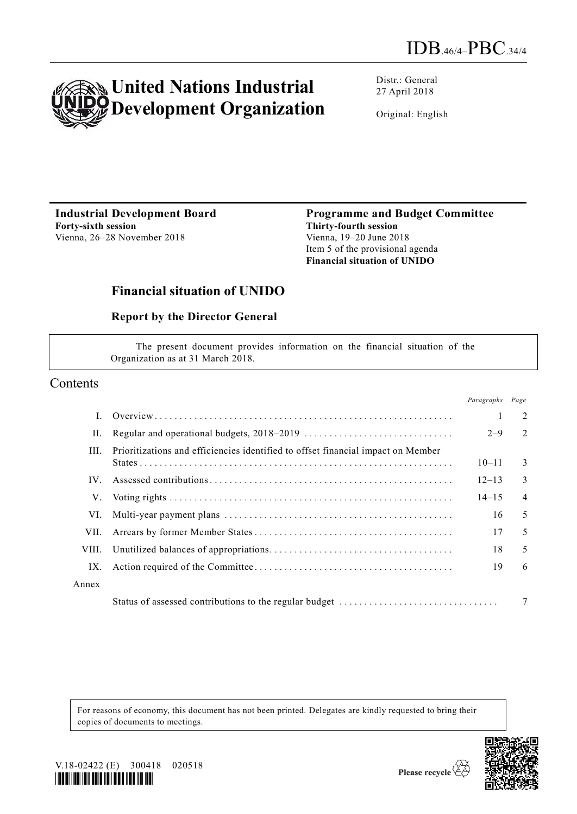

Distr.: General 27 April 2018

Original: English

**Industrial Development Board Forty-sixth session** Vienna, 26–28 November 2018

**Programme and Budget Committee Thirty-fourth session** Vienna, 19–20 June 2018 Item 5 of the provisional agenda **Financial situation of UNIDO**

# **Financial situation of UNIDO**

### **Report by the Director General**

The present document provides information on the financial situation of the Organization as at 31 March 2018.

### Contents

|       |                                                                                  | Paragraphs Page |                |
|-------|----------------------------------------------------------------------------------|-----------------|----------------|
|       |                                                                                  |                 | 2              |
| П.    |                                                                                  | $2 - 9$         | 2              |
| III.  | Prioritizations and efficiencies identified to offset financial impact on Member | $10 - 11$       | 3              |
| IV.   |                                                                                  | $12 - 13$       | 3              |
| V.    |                                                                                  | $14 - 15$       | $\overline{4}$ |
| VI.   |                                                                                  | 16              | 5              |
| VII.  |                                                                                  | 17              | 5              |
| VIII. |                                                                                  | 18              | 5              |
| IX.   |                                                                                  | 19              | 6              |
| Annex |                                                                                  |                 |                |
|       | Status of assessed contributions to the regular budget                           |                 | 7              |

For reasons of economy, this document has not been printed. Delegates are kindly requested to bring their copies of documents to meetings.



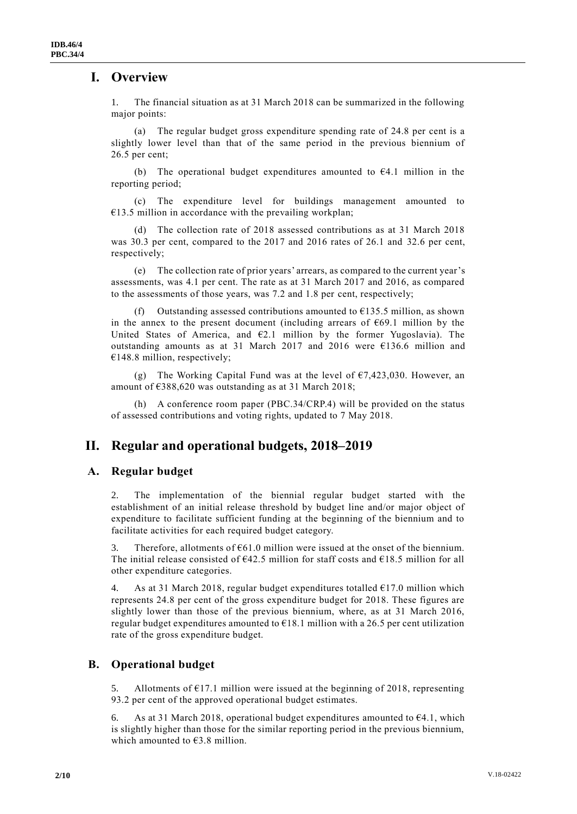### **I. Overview**

1. The financial situation as at 31 March 2018 can be summarized in the following major points:

(a) The regular budget gross expenditure spending rate of 24.8 per cent is a slightly lower level than that of the same period in the previous biennium of 26.5 per cent;

(b) The operational budget expenditures amounted to  $64.1$  million in the reporting period;

(c) The expenditure level for buildings management amounted to  $€13.5$  million in accordance with the prevailing workplan;

(d) The collection rate of 2018 assessed contributions as at 31 March 2018 was 30.3 per cent, compared to the 2017 and 2016 rates of 26.1 and 32.6 per cent, respectively;

(e) The collection rate of prior years' arrears, as compared to the current year's assessments, was 4.1 per cent. The rate as at 31 March 2017 and 2016, as compared to the assessments of those years, was 7.2 and 1.8 per cent, respectively;

(f) Outstanding assessed contributions amounted to  $\epsilon$ 135.5 million, as shown in the annex to the present document (including arrears of  $669.1$  million by the United States of America, and €2.1 million by the former Yugoslavia). The outstanding amounts as at 31 March 2017 and 2016 were €136.6 million and  $€148.8$  million, respectively;

(g) The Working Capital Fund was at the level of  $\epsilon$ 7,423,030. However, an amount of €388,620 was outstanding as at 31 March 2018;

(h) A conference room paper (PBC.34/CRP.4) will be provided on the status of assessed contributions and voting rights, updated to 7 May 2018.

### **II. Regular and operational budgets, 2018–2019**

#### **A. Regular budget**

2. The implementation of the biennial regular budget started with the establishment of an initial release threshold by budget line and/or major object of expenditure to facilitate sufficient funding at the beginning of the biennium and to facilitate activities for each required budget category.

3. Therefore, allotments of  $661.0$  million were issued at the onset of the biennium. The initial release consisted of  $642.5$  million for staff costs and  $618.5$  million for all other expenditure categories.

4. As at 31 March 2018, regular budget expenditures totalled  $E17.0$  million which represents 24.8 per cent of the gross expenditure budget for 2018. These figures are slightly lower than those of the previous biennium, where, as at 31 March 2016, regular budget expenditures amounted to  $\epsilon$ 18.1 million with a 26.5 per cent utilization rate of the gross expenditure budget.

#### **B. Operational budget**

Allotments of  $E17.1$  million were issued at the beginning of 2018, representing 93.2 per cent of the approved operational budget estimates.

6. As at 31 March 2018, operational budget expenditures amounted to €4.1, which is slightly higher than those for the similar reporting period in the previous biennium, which amounted to  $€3.8$  million.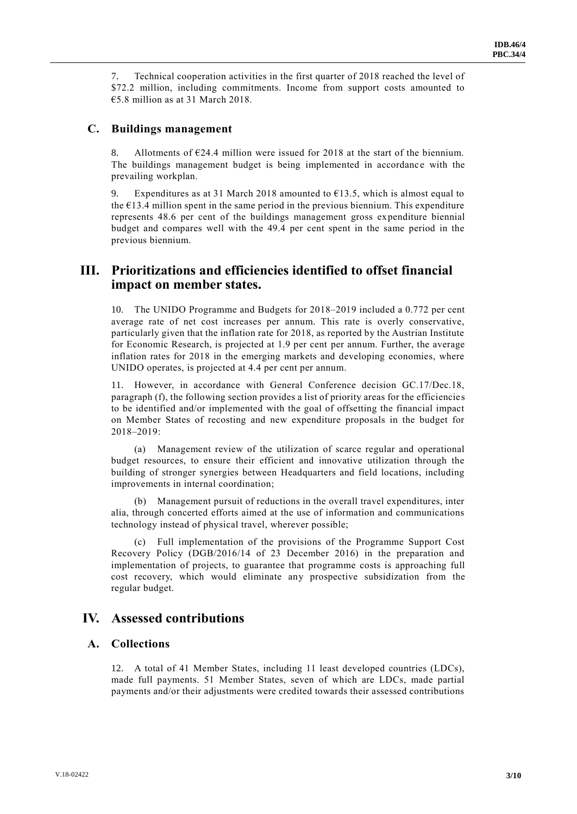7. Technical cooperation activities in the first quarter of 2018 reached the level of \$72.2 million, including commitments. Income from support costs amounted to €5.8 million as at 31 March 2018.

#### **C. Buildings management**

8. Allotments of  $E24.4$  million were issued for 2018 at the start of the biennium. The buildings management budget is being implemented in accordance with the prevailing workplan.

9. Expenditures as at 31 March 2018 amounted to  $\epsilon$ 13.5, which is almost equal to the €13.4 million spent in the same period in the previous biennium. This expenditure represents 48.6 per cent of the buildings management gross expenditure biennial budget and compares well with the 49.4 per cent spent in the same period in the previous biennium.

### **III. Prioritizations and efficiencies identified to offset financial impact on member states.**

10. The UNIDO Programme and Budgets for 2018–2019 included a 0.772 per cent average rate of net cost increases per annum. This rate is overly conservative, particularly given that the inflation rate for 2018, as reported by the Austrian Institute for Economic Research, is projected at 1.9 per cent per annum. Further, the average inflation rates for 2018 in the emerging markets and developing economies, where UNIDO operates, is projected at 4.4 per cent per annum.

11. However, in accordance with General Conference decision GC.17/Dec.18, paragraph (f), the following section provides a list of priority areas for the efficiencies to be identified and/or implemented with the goal of offsetting the financial impact on Member States of recosting and new expenditure proposals in the budget for 2018–2019:

(a) Management review of the utilization of scarce regular and operational budget resources, to ensure their efficient and innovative utilization through the building of stronger synergies between Headquarters and field locations, including improvements in internal coordination;

(b) Management pursuit of reductions in the overall travel expenditures, inter alia, through concerted efforts aimed at the use of information and communications technology instead of physical travel, wherever possible;

(c) Full implementation of the provisions of the Programme Support Cost Recovery Policy (DGB/2016/14 of 23 December 2016) in the preparation and implementation of projects, to guarantee that programme costs is approaching full cost recovery, which would eliminate any prospective subsidization from the regular budget.

### **IV. Assessed contributions**

#### **A. Collections**

12. A total of 41 Member States, including 11 least developed countries (LDCs), made full payments. 51 Member States, seven of which are LDCs, made partial payments and/or their adjustments were credited towards their assessed contributions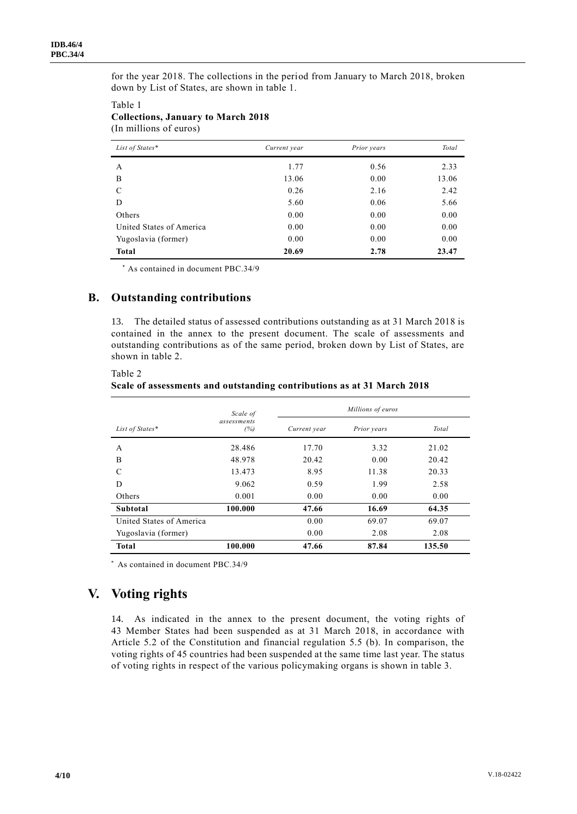for the year 2018. The collections in the period from January to March 2018, broken down by List of States, are shown in table 1.

#### Table 1 **Collections, January to March 2018** (In millions of euros)

| List of States*          | Current year | Prior years | Total |
|--------------------------|--------------|-------------|-------|
| A                        | 1.77         | 0.56        | 2.33  |
| B                        | 13.06        | 0.00        | 13.06 |
| C                        | 0.26         | 2.16        | 2.42  |
| D                        | 5.60         | 0.06        | 5.66  |
| Others                   | 0.00         | 0.00        | 0.00  |
| United States of America | 0.00         | 0.00        | 0.00  |
| Yugoslavia (former)      | 0.00         | 0.00        | 0.00  |
| Total                    | 20.69        | 2.78        | 23.47 |

\* As contained in document PBC.34/9

#### **B. Outstanding contributions**

13. The detailed status of assessed contributions outstanding as at 31 March 2018 is contained in the annex to the present document. The scale of assessments and outstanding contributions as of the same period, broken down by List of States, are shown in table 2.

|                          | Scale of           | Millions of euros |             |        |  |  |
|--------------------------|--------------------|-------------------|-------------|--------|--|--|
| List of States*          | assessments<br>(%) | Current year      | Prior years | Total  |  |  |
| A                        | 28.486             | 17.70             | 3.32        | 21.02  |  |  |
| B                        | 48.978             | 20.42             | 0.00        | 20.42  |  |  |
| C                        | 13.473             | 8.95              | 11.38       | 20.33  |  |  |
| D                        | 9.062              | 0.59              | 1.99        | 2.58   |  |  |
| Others                   | 0.001              | 0.00              | 0.00        | 0.00   |  |  |
| Subtotal                 | 100.000            | 47.66             | 16.69       | 64.35  |  |  |
| United States of America |                    | 0.00              | 69.07       | 69.07  |  |  |
| Yugoslavia (former)      |                    | 0.00              | 2.08        | 2.08   |  |  |
| <b>Total</b>             | 100.000            | 47.66             | 87.84       | 135.50 |  |  |

**Scale of assessments and outstanding contributions as at 31 March 2018**

\* As contained in document PBC.34/9

# **V. Voting rights**

Table 2

14. As indicated in the annex to the present document, the voting rights of 43 Member States had been suspended as at 31 March 2018, in accordance with Article 5.2 of the Constitution and financial regulation 5.5 (b). In comparison, the voting rights of 45 countries had been suspended at the same time last year. The status of voting rights in respect of the various policymaking organs is shown in table 3.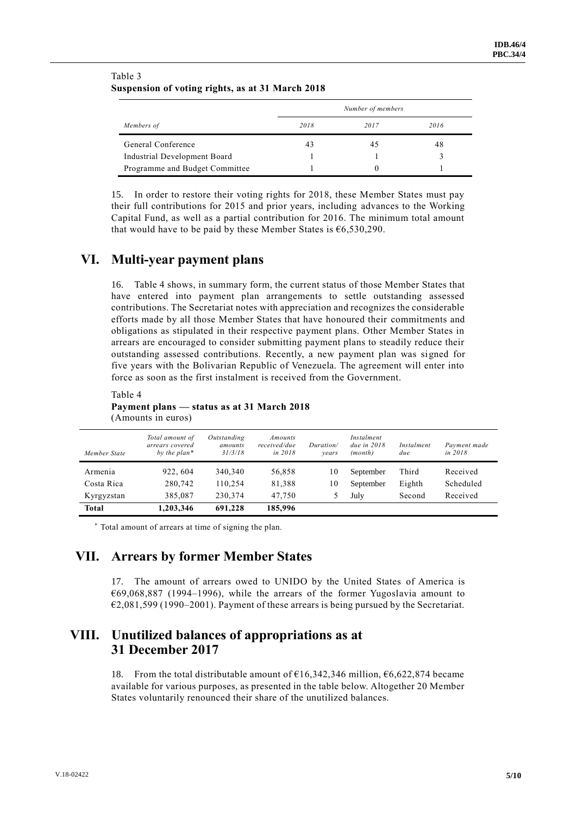|                                | Number of members |      |      |  |  |  |
|--------------------------------|-------------------|------|------|--|--|--|
| Members of                     | 2018              | 2017 | 2016 |  |  |  |
| General Conference             | 43                | 45   | 48   |  |  |  |
| Industrial Development Board   |                   |      |      |  |  |  |
| Programme and Budget Committee |                   |      |      |  |  |  |

#### Table 3 **Suspension of voting rights, as at 31 March 2018**

15. In order to restore their voting rights for 2018, these Member States must pay their full contributions for 2015 and prior years, including advances to the Working Capital Fund, as well as a partial contribution for 2016. The minimum total amount that would have to be paid by these Member States is  $66,530,290$ .

## **VI. Multi-year payment plans**

16. Table 4 shows, in summary form, the current status of those Member States that have entered into payment plan arrangements to settle outstanding assessed contributions. The Secretariat notes with appreciation and recognizes the considerable efforts made by all those Member States that have honoured their commitments and obligations as stipulated in their respective payment plans. Other Member States in arrears are encouraged to consider submitting payment plans to steadily reduce their outstanding assessed contributions. Recently, a new payment plan was signed for five years with the Bolivarian Republic of Venezuela. The agreement will enter into force as soon as the first instalment is received from the Government.

#### Table 4 **Payment plans — status as at 31 March 2018** (Amounts in euros)

| Member State | Total amount of<br>arrears covered<br>by the $plan*$ | Outstanding<br>amounts<br>31/3/18 | Amounts<br>received/due<br>in 2018 | Duration/<br>vears | Instalment<br>due in $2018$<br>(month) | Instalment<br>due | Payment made<br>in 2018 |
|--------------|------------------------------------------------------|-----------------------------------|------------------------------------|--------------------|----------------------------------------|-------------------|-------------------------|
| Armenia      | 922, 604                                             | 340,340                           | 56,858                             | 10                 | September                              | Third             | Received                |
| Costa Rica   | 280,742                                              | 110.254                           | 81,388                             | 10                 | September                              | Eighth            | Scheduled               |
| Kyrgyzstan   | 385,087                                              | 230,374                           | 47,750                             |                    | July                                   | Second            | Received                |
| Total        | 1,203,346                                            | 691,228                           | 185,996                            |                    |                                        |                   |                         |

\* Total amount of arrears at time of signing the plan.

### **VII. Arrears by former Member States**

17. The amount of arrears owed to UNIDO by the United States of America is €69,068,887 (1994–1996), while the arrears of the former Yugoslavia amount to €2,081,599 (1990–2001). Payment of these arrears is being pursued by the Secretariat.

## **VIII. Unutilized balances of appropriations as at 31 December 2017**

18. From the total distributable amount of  $\epsilon$ 16,342,346 million,  $\epsilon$ 6,622,874 became available for various purposes, as presented in the table below. Altogether 20 Member States voluntarily renounced their share of the unutilized balances.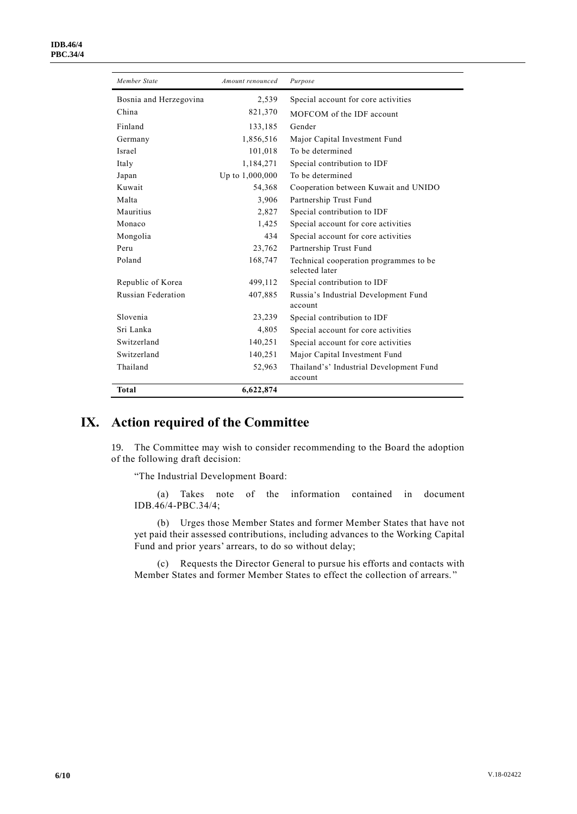| Member State              | Amount renounced | Purpose                                                  |
|---------------------------|------------------|----------------------------------------------------------|
| Bosnia and Herzegovina    | 2,539            | Special account for core activities                      |
| China                     | 821,370          | MOFCOM of the IDF account                                |
| Finland                   | 133,185          | Gender                                                   |
| Germany                   | 1,856,516        | Major Capital Investment Fund                            |
| Israel                    | 101,018          | To be determined                                         |
| Italy                     | 1,184,271        | Special contribution to IDF                              |
| Japan                     | Up to 1,000,000  | To be determined                                         |
| Kuwait                    | 54,368           | Cooperation between Kuwait and UNIDO                     |
| Malta                     | 3,906            | Partnership Trust Fund                                   |
| Mauritius                 | 2,827            | Special contribution to IDF                              |
| Monaco                    | 1,425            | Special account for core activities                      |
| Mongolia                  | 434              | Special account for core activities                      |
| Peru                      | 23,762           | Partnership Trust Fund                                   |
| Poland                    | 168,747          | Technical cooperation programmes to be<br>selected later |
| Republic of Korea         | 499,112          | Special contribution to IDF                              |
| <b>Russian Federation</b> | 407,885          | Russia's Industrial Development Fund<br>account          |
| Slovenia                  | 23,239           | Special contribution to IDF                              |
| Sri Lanka                 | 4,805            | Special account for core activities                      |
| Switzerland               | 140,251          | Special account for core activities                      |
| Switzerland               | 140,251          | Major Capital Investment Fund                            |
| Thailand                  | 52,963           | Thailand's' Industrial Development Fund                  |
|                           |                  | account                                                  |
| <b>Total</b>              | 6,622,874        |                                                          |

## **IX. Action required of the Committee**

19. The Committee may wish to consider recommending to the Board the adoption of the following draft decision:

"The Industrial Development Board:

(a) Takes note of the information contained in document IDB.46/4-PBC.34/4;

(b) Urges those Member States and former Member States that have not yet paid their assessed contributions, including advances to the Working Capital Fund and prior years' arrears, to do so without delay;

(c) Requests the Director General to pursue his efforts and contacts with Member States and former Member States to effect the collection of arrears. "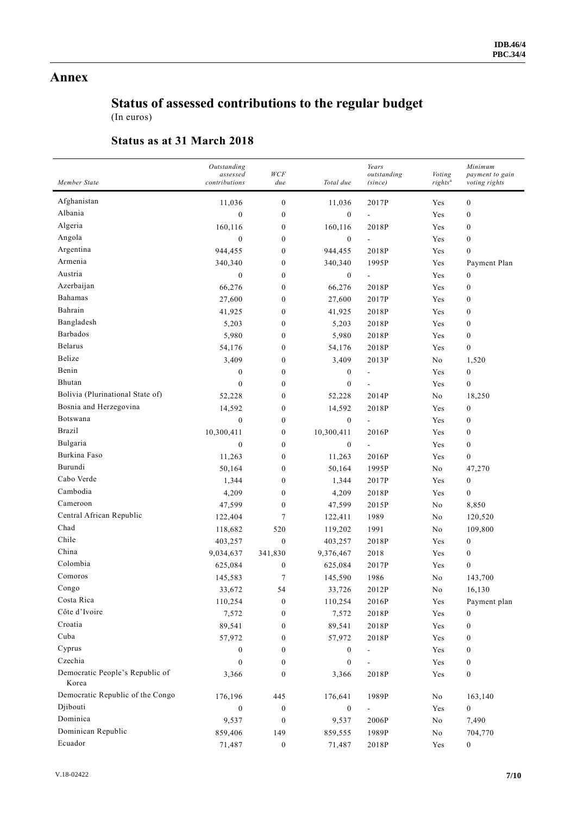### **Annex**

# **Status of assessed contributions to the regular budget**

(In euros)

### **Status as at 31 March 2018**

| Member State                             | Outstanding<br>assessed<br>contributions | WCF<br>due       | Total due        | Years<br>outstanding<br>(since) | Voting<br>rights <sup>a</sup> | Minimum<br>payment to gain<br>voting rights |
|------------------------------------------|------------------------------------------|------------------|------------------|---------------------------------|-------------------------------|---------------------------------------------|
| Afghanistan                              | 11,036                                   | $\boldsymbol{0}$ | 11,036           | 2017P                           | Yes                           | $\boldsymbol{0}$                            |
| Albania                                  | $\mathbf{0}$                             | $\boldsymbol{0}$ | $\overline{0}$   | $\overline{a}$                  | Yes                           | $\boldsymbol{0}$                            |
| Algeria                                  | 160,116                                  | $\boldsymbol{0}$ | 160,116          | 2018P                           | Yes                           | $\boldsymbol{0}$                            |
| Angola                                   | $\boldsymbol{0}$                         | $\boldsymbol{0}$ | $\boldsymbol{0}$ | $\overline{a}$                  | Yes                           | $\boldsymbol{0}$                            |
| Argentina                                | 944,455                                  | $\boldsymbol{0}$ | 944,455          | 2018P                           | Yes                           | $\boldsymbol{0}$                            |
| Armenia                                  | 340,340                                  | $\boldsymbol{0}$ | 340,340          | 1995P                           | Yes                           | Payment Plan                                |
| Austria                                  | $\boldsymbol{0}$                         | $\boldsymbol{0}$ | $\boldsymbol{0}$ | -                               | Yes                           | $\boldsymbol{0}$                            |
| Azerbaijan                               | 66,276                                   | $\boldsymbol{0}$ | 66,276           | 2018P                           | Yes                           | $\boldsymbol{0}$                            |
| Bahamas                                  | 27,600                                   | $\boldsymbol{0}$ | 27,600           | 2017P                           | Yes                           | $\boldsymbol{0}$                            |
| Bahrain                                  | 41,925                                   | $\boldsymbol{0}$ | 41,925           | 2018P                           | Yes                           | $\boldsymbol{0}$                            |
| Bangladesh                               | 5,203                                    | $\boldsymbol{0}$ | 5,203            | 2018P                           | Yes                           | $\boldsymbol{0}$                            |
| Barbados                                 | 5,980                                    | $\boldsymbol{0}$ | 5,980            | 2018P                           | Yes                           | $\boldsymbol{0}$                            |
| <b>Belarus</b>                           | 54,176                                   | $\boldsymbol{0}$ | 54,176           | 2018P                           | Yes                           | 0                                           |
| Belize                                   | 3,409                                    | $\boldsymbol{0}$ | 3,409            | 2013P                           | No                            | 1,520                                       |
| Benin                                    | $\boldsymbol{0}$                         | $\boldsymbol{0}$ | $\boldsymbol{0}$ | ÷,                              | Yes                           | $\boldsymbol{0}$                            |
| Bhutan                                   | $\mathbf{0}$                             | $\boldsymbol{0}$ | $\boldsymbol{0}$ |                                 | Yes                           | 0                                           |
| Bolivia (Plurinational State of)         | 52,228                                   | $\boldsymbol{0}$ | 52,228           | 2014P                           | No                            | 18,250                                      |
| Bosnia and Herzegovina                   | 14,592                                   | $\boldsymbol{0}$ | 14,592           | 2018P                           | Yes                           | $\boldsymbol{0}$                            |
| Botswana                                 | $\boldsymbol{0}$                         | $\boldsymbol{0}$ | $\boldsymbol{0}$ | $\overline{\phantom{0}}$        | Yes                           | $\boldsymbol{0}$                            |
| <b>Brazil</b>                            | 10,300,411                               | $\boldsymbol{0}$ | 10,300,411       | 2016P                           | Yes                           | $\boldsymbol{0}$                            |
| Bulgaria                                 | $\mathbf{0}$                             | $\boldsymbol{0}$ | $\boldsymbol{0}$ | $\overline{\phantom{0}}$        | Yes                           | $\boldsymbol{0}$                            |
| Burkina Faso                             | 11,263                                   | $\boldsymbol{0}$ | 11,263           | 2016P                           | Yes                           | $\boldsymbol{0}$                            |
| Burundi                                  | 50,164                                   | $\boldsymbol{0}$ | 50,164           | 1995P                           | No                            | 47,270                                      |
| Cabo Verde                               | 1,344                                    | $\boldsymbol{0}$ | 1,344            | 2017P                           | Yes                           | $\boldsymbol{0}$                            |
| Cambodia                                 | 4,209                                    | $\boldsymbol{0}$ | 4,209            | 2018P                           | Yes                           | 0                                           |
| Cameroon                                 | 47,599                                   | $\boldsymbol{0}$ | 47,599           | 2015P                           | No                            | 8,850                                       |
| Central African Republic                 | 122,404                                  | $\tau$           | 122,411          | 1989                            | No                            | 120,520                                     |
| Chad                                     | 118,682                                  | 520              | 119,202          | 1991                            | No                            | 109,800                                     |
| Chile                                    | 403,257                                  | $\boldsymbol{0}$ | 403,257          | 2018P                           | Yes                           | $\boldsymbol{0}$                            |
| China                                    | 9,034,637                                | 341,830          | 9,376,467        | 2018                            | Yes                           | $\boldsymbol{0}$                            |
| Colombia                                 | 625,084                                  | $\boldsymbol{0}$ | 625,084          | 2017P                           | Yes                           | $\boldsymbol{0}$                            |
| Comoros                                  | 145,583                                  | $\tau$           | 145,590          | 1986                            | No                            | 143,700                                     |
| Congo                                    | 33,672                                   | 54               | 33,726           | 2012P                           | No                            | 16,130                                      |
| Costa Rica                               | 110,254                                  | $\boldsymbol{0}$ | 110,254          | 2016P                           | Yes                           | Payment plan                                |
| Côte d'Ivoire                            | 7,572                                    | $\boldsymbol{0}$ | 7,572            | 2018P                           | Yes                           | 0                                           |
| Croatia                                  | 89,541                                   | $\boldsymbol{0}$ | 89,541           | 2018P                           | Yes                           | $\boldsymbol{0}$                            |
| Cuba                                     | 57,972                                   | $\bf{0}$         | 57,972           | 2018P                           | Yes                           | $\boldsymbol{0}$                            |
| Cyprus                                   | $\boldsymbol{0}$                         | $\boldsymbol{0}$ | $\boldsymbol{0}$ |                                 | Yes                           | $\boldsymbol{0}$                            |
| Czechia                                  | $\mathbf{0}$                             | $\boldsymbol{0}$ | $\boldsymbol{0}$ | -                               | Yes                           | $\boldsymbol{0}$                            |
| Democratic People's Republic of<br>Korea | 3,366                                    | $\boldsymbol{0}$ | 3,366            | 2018P                           | Yes                           | $\boldsymbol{0}$                            |
| Democratic Republic of the Congo         | 176,196                                  | 445              | 176,641          | 1989P                           | No                            | 163,140                                     |
| Djibouti                                 | $\boldsymbol{0}$                         | $\boldsymbol{0}$ | $\boldsymbol{0}$ | $\overline{\phantom{0}}$        | Yes                           | $\overline{0}$                              |
| Dominica                                 | 9,537                                    | $\boldsymbol{0}$ | 9,537            | 2006P                           | No                            | 7,490                                       |
| Dominican Republic                       | 859,406                                  | 149              | 859,555          | 1989P                           | $\mathbf{N}\mathbf{o}$        | 704,770                                     |
| Ecuador                                  | 71,487                                   | $\boldsymbol{0}$ | 71,487           | 2018P                           | Yes                           | $\mathbf{0}$                                |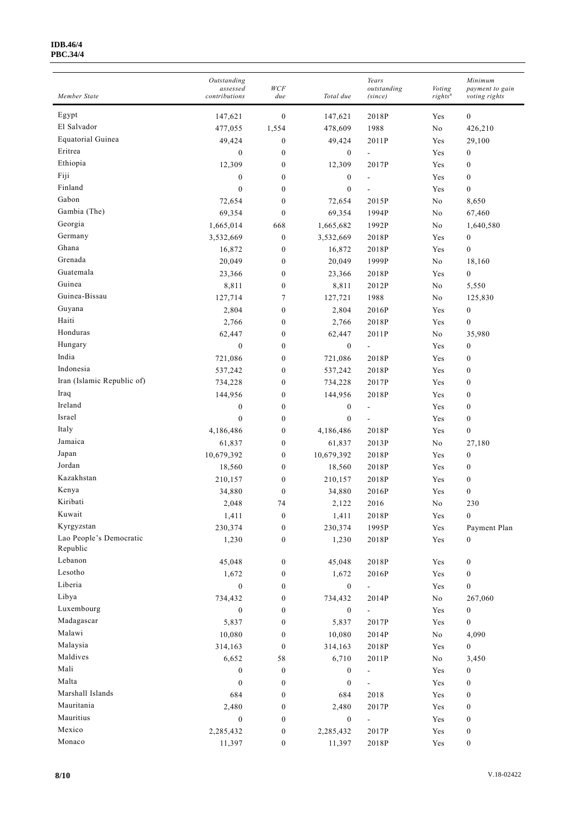#### **IDB.46/4 PBC.34/4**

| Member State               | Outstanding<br>assessed<br>contributions | WCF<br>due                           | Total due                   | Years<br>outstanding<br>(since) | Voting<br>rights <sup>a</sup> | Minimum<br>payment to gain<br>voting rights |
|----------------------------|------------------------------------------|--------------------------------------|-----------------------------|---------------------------------|-------------------------------|---------------------------------------------|
| Egypt                      | 147,621                                  | $\boldsymbol{0}$                     | 147,621                     | 2018P                           | Yes                           | $\boldsymbol{0}$                            |
| El Salvador                | 477,055                                  | 1,554                                | 478,609                     | 1988                            | No                            | 426,210                                     |
| Equatorial Guinea          | 49,424                                   | $\boldsymbol{0}$                     | 49,424                      | 2011P                           | Yes                           | 29,100                                      |
| Eritrea                    | $\boldsymbol{0}$                         | $\boldsymbol{0}$                     | $\boldsymbol{0}$            | $\overline{a}$                  | Yes                           | $\boldsymbol{0}$                            |
| Ethiopia                   | 12,309                                   | $\boldsymbol{0}$                     | 12,309                      | 2017P                           | Yes                           | $\boldsymbol{0}$                            |
| Fiji                       | $\boldsymbol{0}$                         | $\boldsymbol{0}$                     | $\boldsymbol{0}$            |                                 | Yes                           | $\boldsymbol{0}$                            |
| Finland                    | $\mathbf{0}$                             | $\boldsymbol{0}$                     | $\boldsymbol{0}$            |                                 | Yes                           | $\mathbf{0}$                                |
| Gabon                      | 72,654                                   | $\boldsymbol{0}$                     | 72,654                      | 2015P                           | No                            | 8,650                                       |
| Gambia (The)               | 69,354                                   | $\boldsymbol{0}$                     | 69,354                      | 1994P                           | No                            | 67,460                                      |
| Georgia                    | 1,665,014                                | 668                                  | 1,665,682                   | 1992P                           | No                            | 1,640,580                                   |
| Germany                    | 3,532,669                                | $\boldsymbol{0}$                     | 3,532,669                   | 2018P                           | Yes                           | $\bf{0}$                                    |
| Ghana                      | 16,872                                   | $\boldsymbol{0}$                     | 16,872                      | 2018P                           | Yes                           | $\boldsymbol{0}$                            |
| Grenada                    | 20,049                                   | $\boldsymbol{0}$                     | 20,049                      | 1999P                           | No                            | 18,160                                      |
| Guatemala                  | 23,366                                   | $\boldsymbol{0}$                     | 23,366                      | 2018P                           | Yes                           | $\boldsymbol{0}$                            |
| Guinea                     | 8,811                                    | $\boldsymbol{0}$                     | 8,811                       | 2012P                           | No                            | 5,550                                       |
| Guinea-Bissau              | 127,714                                  | 7                                    | 127,721                     | 1988                            | No                            | 125,830                                     |
| Guyana                     | 2,804                                    | $\boldsymbol{0}$                     | 2,804                       | 2016P                           | Yes                           | $\boldsymbol{0}$                            |
| Haiti                      | 2,766                                    | $\boldsymbol{0}$                     | 2,766                       | 2018P                           | Yes                           | $\boldsymbol{0}$                            |
| Honduras                   | 62,447                                   | $\boldsymbol{0}$                     | 62,447                      | 2011P                           | $\rm No$                      | 35,980                                      |
| Hungary                    | $\boldsymbol{0}$                         | $\boldsymbol{0}$                     | $\boldsymbol{0}$            | $\overline{\phantom{a}}$        | Yes                           | $\boldsymbol{0}$                            |
| India                      |                                          | $\boldsymbol{0}$                     |                             | 2018P                           | Yes                           | $\boldsymbol{0}$                            |
| Indonesia                  | 721,086                                  | $\boldsymbol{0}$                     | 721,086                     | 2018P                           | Yes                           | $\boldsymbol{0}$                            |
| Iran (Islamic Republic of) | 537,242                                  | $\boldsymbol{0}$                     | 537,242                     | 2017P                           | Yes                           | $\bf{0}$                                    |
| Iraq                       | 734,228                                  |                                      | 734,228                     |                                 |                               |                                             |
| Ireland                    | 144,956<br>$\boldsymbol{0}$              | $\boldsymbol{0}$<br>$\boldsymbol{0}$ | 144,956<br>$\boldsymbol{0}$ | 2018P                           | Yes<br>Yes                    | $\boldsymbol{0}$<br>$\boldsymbol{0}$        |
| Israel                     | $\mathbf{0}$                             | $\boldsymbol{0}$                     | $\mathbf{0}$                | $\overline{\phantom{a}}$        | Yes                           | $\boldsymbol{0}$                            |
| Italy                      |                                          |                                      |                             | 2018P                           | Yes                           | $\boldsymbol{0}$                            |
| Jamaica                    | 4,186,486                                | $\boldsymbol{0}$<br>$\boldsymbol{0}$ | 4,186,486<br>61,837         | 2013P                           | No                            |                                             |
| Japan                      | 61,837                                   |                                      | 10,679,392                  | 2018P                           | Yes                           | 27,180                                      |
| Jordan                     | 10,679,392                               | $\boldsymbol{0}$                     |                             | 2018P                           | Yes                           | $\boldsymbol{0}$<br>$\boldsymbol{0}$        |
| Kazakhstan                 | 18,560                                   | $\boldsymbol{0}$<br>$\boldsymbol{0}$ | 18,560                      | 2018P                           | Yes                           | $\boldsymbol{0}$                            |
| Kenya                      | 210,157<br>34,880                        | $\boldsymbol{0}$                     | 210,157<br>34,880           | 2016P                           | Yes                           | $\boldsymbol{0}$                            |
| Kiribati                   |                                          |                                      |                             | 2016                            |                               |                                             |
| Kuwait                     | 2,048<br>1,411                           | 74                                   | 2,122                       |                                 | No                            | 230                                         |
| Kyrgyzstan                 |                                          | $\boldsymbol{0}$                     | 1,411                       | 2018P                           | Yes                           | $\boldsymbol{0}$                            |
| Lao People's Democratic    | 230,374                                  | $\boldsymbol{0}$                     | 230,374                     | 1995P                           | Yes                           | Payment Plan                                |
| Republic                   | 1,230                                    | $\boldsymbol{0}$                     | 1,230                       | 2018P                           | Yes                           | $\boldsymbol{0}$                            |
| Lebanon                    | 45,048                                   | $\boldsymbol{0}$                     | 45,048                      | 2018P                           | Yes                           | $\boldsymbol{0}$                            |
| Lesotho                    | 1,672                                    | $\boldsymbol{0}$                     | 1,672                       | 2016P                           | Yes                           | $\boldsymbol{0}$                            |
| Liberia                    | $\boldsymbol{0}$                         | $\boldsymbol{0}$                     | $\boldsymbol{0}$            | ÷,                              | Yes                           | $\boldsymbol{0}$                            |
| Libya                      | 734,432                                  | $\boldsymbol{0}$                     | 734,432                     | 2014P                           | No                            | 267,060                                     |
| Luxembourg                 | $\boldsymbol{0}$                         | $\boldsymbol{0}$                     | $\boldsymbol{0}$            | ÷.                              | Yes                           | $\boldsymbol{0}$                            |
| Madagascar                 | 5,837                                    | $\boldsymbol{0}$                     | 5,837                       | 2017P                           | Yes                           | $\boldsymbol{0}$                            |
| Malawi                     | 10,080                                   | $\boldsymbol{0}$                     | 10,080                      | 2014P                           | No                            | 4,090                                       |
| Malaysia                   | 314,163                                  | $\boldsymbol{0}$                     | 314,163                     | 2018P                           | Yes                           | $\boldsymbol{0}$                            |
| Maldives                   | 6,652                                    | 58                                   | 6,710                       | 2011P                           | No                            | 3,450                                       |
| Mali                       | $\boldsymbol{0}$                         | $\boldsymbol{0}$                     | $\boldsymbol{0}$            | $\blacksquare$                  | Yes                           | $\boldsymbol{0}$                            |
| Malta                      | $\boldsymbol{0}$                         | $\boldsymbol{0}$                     | $\boldsymbol{0}$            | $\overline{a}$                  | Yes                           | $\boldsymbol{0}$                            |
| Marshall Islands           | 684                                      | $\boldsymbol{0}$                     | 684                         | 2018                            | Yes                           | $\boldsymbol{0}$                            |
| Mauritania                 | 2,480                                    | $\boldsymbol{0}$                     | 2,480                       | 2017P                           | Yes                           | $\boldsymbol{0}$                            |
| Mauritius                  | $\boldsymbol{0}$                         | $\boldsymbol{0}$                     | $\boldsymbol{0}$            | $\overline{\phantom{0}}$        | Yes                           | $\boldsymbol{0}$                            |
| Mexico                     | 2,285,432                                | $\boldsymbol{0}$                     | 2,285,432                   | 2017P                           | Yes                           | $\boldsymbol{0}$                            |
| Monaco                     | 11,397                                   | $\boldsymbol{0}$                     | 11,397                      | 2018P                           | Yes                           | $\boldsymbol{0}$                            |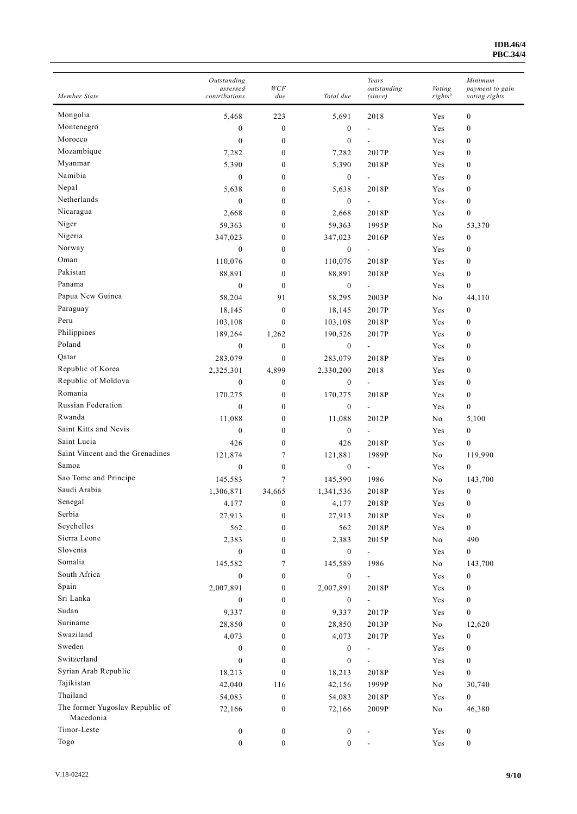| Member State                                 | Outstanding<br>assessed<br>contributions | WCF<br>due       | Total due        | Years<br>outstanding<br>(since) | Voting<br>rights <sup>a</sup> | Minimum<br>payment to gain<br>voting rights |
|----------------------------------------------|------------------------------------------|------------------|------------------|---------------------------------|-------------------------------|---------------------------------------------|
| Mongolia                                     | 5,468                                    | 223              | 5,691            | 2018                            | Yes                           | $\boldsymbol{0}$                            |
| Montenegro                                   | $\boldsymbol{0}$                         | $\boldsymbol{0}$ | $\boldsymbol{0}$ |                                 | Yes                           | $\boldsymbol{0}$                            |
| Morocco                                      | $\mathbf{0}$                             | $\boldsymbol{0}$ | $\boldsymbol{0}$ | $\overline{\phantom{a}}$        | Yes                           | $\boldsymbol{0}$                            |
| Mozambique                                   | 7,282                                    | $\boldsymbol{0}$ | 7,282            | 2017P                           | Yes                           | $\boldsymbol{0}$                            |
| Myanmar                                      | 5,390                                    | $\boldsymbol{0}$ | 5,390            | 2018P                           | Yes                           | $\boldsymbol{0}$                            |
| Namibia                                      | $\mathbf{0}$                             | $\boldsymbol{0}$ | $\boldsymbol{0}$ |                                 | Yes                           | $\boldsymbol{0}$                            |
| Nepal                                        | 5,638                                    | $\boldsymbol{0}$ | 5,638            | 2018P                           | Yes                           | $\boldsymbol{0}$                            |
| Netherlands                                  | $\mathbf{0}$                             | $\boldsymbol{0}$ | $\boldsymbol{0}$ | $\overline{a}$                  | Yes                           | $\boldsymbol{0}$                            |
| Nicaragua                                    | 2,668                                    | $\boldsymbol{0}$ | 2,668            | 2018P                           | Yes                           | $\boldsymbol{0}$                            |
| Niger                                        | 59,363                                   | $\boldsymbol{0}$ | 59,363           | 1995P                           | No                            | 53,370                                      |
| Nigeria                                      | 347,023                                  | $\boldsymbol{0}$ | 347,023          | 2016P                           | Yes                           | $\boldsymbol{0}$                            |
| Norway                                       | $\mathbf{0}$                             | $\mathbf{0}$     | $\overline{0}$   | $\blacksquare$                  | Yes                           | $\boldsymbol{0}$                            |
| Oman                                         | 110,076                                  | $\mathbf{0}$     | 110,076          | 2018P                           | Yes                           | $\boldsymbol{0}$                            |
| Pakistan                                     | 88,891                                   | $\mathbf{0}$     | 88,891           | 2018P                           | Yes                           | $\boldsymbol{0}$                            |
| Panama                                       | $\mathbf{0}$                             | $\mathbf{0}$     | $\boldsymbol{0}$ | $\overline{\phantom{a}}$        | Yes                           | $\boldsymbol{0}$                            |
| Papua New Guinea                             | 58,204                                   | 91               | 58,295           | 2003P                           | No                            | 44,110                                      |
| Paraguay                                     | 18,145                                   | $\boldsymbol{0}$ | 18,145           | 2017P                           | Yes                           | $\boldsymbol{0}$                            |
| Peru                                         | 103,108                                  | $\mathbf{0}$     | 103,108          | 2018P                           | Yes                           | $\boldsymbol{0}$                            |
| Philippines                                  | 189,264                                  | 1,262            | 190,526          | 2017P                           | Yes                           | $\boldsymbol{0}$                            |
| Poland                                       | $\boldsymbol{0}$                         | $\boldsymbol{0}$ | $\boldsymbol{0}$ | $\overline{a}$                  | Yes                           | $\boldsymbol{0}$                            |
| Qatar                                        | 283,079                                  | $\boldsymbol{0}$ | 283,079          | 2018P                           | Yes                           | $\boldsymbol{0}$                            |
| Republic of Korea                            | 2,325,301                                | 4,899            | 2,330,200        | 2018                            | Yes                           | $\boldsymbol{0}$                            |
| Republic of Moldova                          | $\boldsymbol{0}$                         | $\boldsymbol{0}$ | $\boldsymbol{0}$ | ÷,                              | Yes                           | $\boldsymbol{0}$                            |
| Romania                                      | 170,275                                  | $\boldsymbol{0}$ | 170,275          | 2018P                           | Yes                           | $\boldsymbol{0}$                            |
| Russian Federation                           | $\mathbf{0}$                             | $\boldsymbol{0}$ | $\boldsymbol{0}$ | $\frac{1}{2}$                   | Yes                           | $\boldsymbol{0}$                            |
| Rwanda                                       | 11,088                                   | $\boldsymbol{0}$ | 11,088           | 2012P                           | No                            |                                             |
| Saint Kitts and Nevis                        | $\mathbf{0}$                             | $\mathbf{0}$     |                  |                                 |                               | 5,100                                       |
| Saint Lucia                                  |                                          | $\mathbf{0}$     | $\boldsymbol{0}$ | $\overline{\phantom{a}}$        | Yes                           | $\boldsymbol{0}$                            |
| Saint Vincent and the Grenadines             | 426                                      |                  | 426              | 2018P                           | Yes                           | $\boldsymbol{0}$                            |
| Samoa                                        | 121,874<br>$\mathbf{0}$                  | $\tau$           | 121,881          | 1989P                           | No                            | 119,990                                     |
| Sao Tome and Principe                        |                                          | $\boldsymbol{0}$ | $\boldsymbol{0}$ | $\blacksquare$                  | Yes                           | $\boldsymbol{0}$                            |
| Saudi Arabia                                 | 145,583                                  | 7                | 145,590          | 1986                            | No                            | 143,700                                     |
| Senegal                                      | 1,306,871                                | 34,665           | 1,341,536        | 2018P                           | Yes                           | $\boldsymbol{0}$                            |
| Serbia                                       | 4,177                                    | $\boldsymbol{0}$ | 4,177            | 2018P                           | Yes                           | $\boldsymbol{0}$                            |
| Seychelles                                   | 27,913                                   | $\boldsymbol{0}$ | 27,913           | 2018P                           | Yes                           | $\boldsymbol{0}$                            |
| Sierra Leone                                 | 562                                      | $\boldsymbol{0}$ | 562              | $2018{\rm P}$                   | Yes                           | $\boldsymbol{0}$                            |
| Slovenia                                     | 2,383                                    | $\boldsymbol{0}$ | 2,383            | 2015P                           | $\rm No$                      | 490                                         |
| Somalia                                      | $\boldsymbol{0}$                         | $\boldsymbol{0}$ | $\boldsymbol{0}$ | $\Box$                          | Yes                           | $\boldsymbol{0}$                            |
| South Africa                                 | 145,582                                  | 7                | 145,589          | 1986                            | No                            | 143,700                                     |
| Spain                                        | $\boldsymbol{0}$                         | $\boldsymbol{0}$ | $\boldsymbol{0}$ | $\Box$                          | Yes                           | $\boldsymbol{0}$                            |
| Sri Lanka                                    | 2,007,891                                | $\boldsymbol{0}$ | 2,007,891        | 2018P                           | Yes                           | $\boldsymbol{0}$                            |
| Sudan                                        | $\boldsymbol{0}$                         | $\boldsymbol{0}$ | $\boldsymbol{0}$ | $\blacksquare$                  | Yes                           | 0                                           |
| Suriname                                     | 9,337                                    | $\boldsymbol{0}$ | 9,337            | 2017P                           | Yes                           | $\boldsymbol{0}$                            |
| Swaziland                                    | 28,850                                   | $\boldsymbol{0}$ | 28,850           | 2013P                           | $\mathbf{N}\mathbf{o}$        | 12,620                                      |
|                                              | 4,073                                    | $\boldsymbol{0}$ | 4,073            | 2017P                           | Yes                           | $\boldsymbol{0}$                            |
| Sweden<br>Switzerland                        | $\boldsymbol{0}$                         | $\boldsymbol{0}$ | $\boldsymbol{0}$ | $\blacksquare$                  | Yes                           | $\boldsymbol{0}$                            |
|                                              | $\boldsymbol{0}$                         | $\boldsymbol{0}$ | $\mathbf{0}$     |                                 | Yes                           | $\boldsymbol{0}$                            |
| Syrian Arab Republic                         | 18,213                                   | $\boldsymbol{0}$ | 18,213           | 2018P                           | Yes                           | $\boldsymbol{0}$                            |
| Tajikistan                                   | 42,040                                   | 116              | 42,156           | 1999P                           | No                            | 30,740                                      |
| Thailand                                     | 54,083                                   | $\boldsymbol{0}$ | 54,083           | 2018P                           | Yes                           | $\boldsymbol{0}$                            |
| The former Yugoslav Republic of<br>Macedonia | 72,166                                   | $\boldsymbol{0}$ | 72,166           | 2009P                           | No                            | 46,380                                      |
| Timor-Leste                                  | $\boldsymbol{0}$                         | $\boldsymbol{0}$ | $\boldsymbol{0}$ |                                 | Yes                           | $\boldsymbol{0}$                            |
| Togo                                         | $\boldsymbol{0}$                         | $\boldsymbol{0}$ | $\boldsymbol{0}$ |                                 | Yes                           | $\boldsymbol{0}$                            |